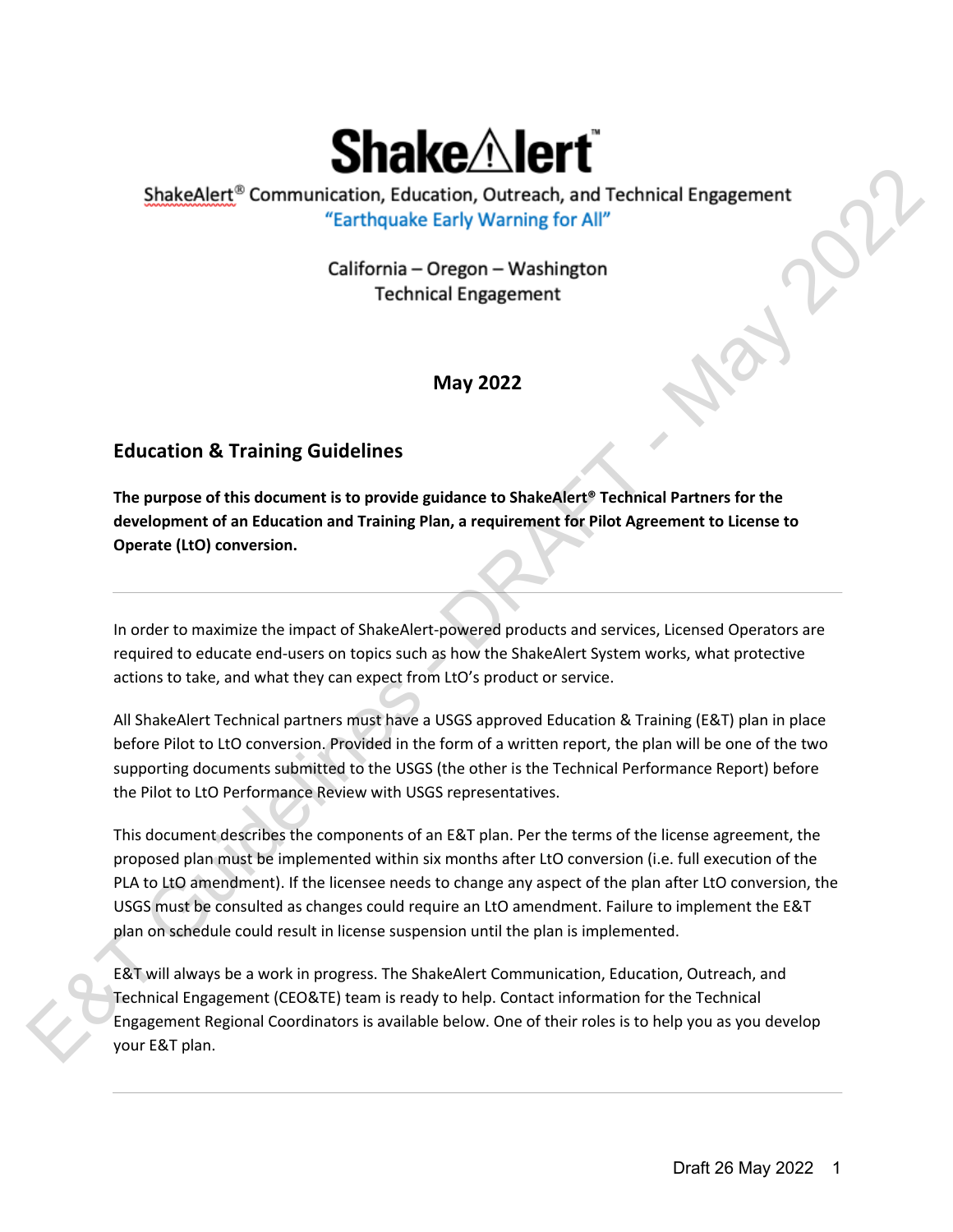# **May 2022**

# **Education & Training Guidelines**

**The purpose of this document is to provide guidance to ShakeAlert® Technical Partners for the development of an Education and Training Plan, a requirement for Pilot Agreement to License to Operate (LtO) conversion.**

In order to maximize the impact of ShakeAlert-powered products and services, Licensed Operators are required to educate end-users on topics such as how the ShakeAlert System works, what protective actions to take, and what they can expect from LtO's product or service.

All ShakeAlert Technical partners must have a USGS approved Education & Training (E&T) plan in place before Pilot to LtO conversion. Provided in the form of a written report, the plan will be one of the two supporting documents submitted to the USGS (the other is the Technical Performance Report) before the Pilot to LtO Performance Review with USGS representatives.

This document describes the components of an E&T plan. Per the terms of the license agreement, the proposed plan must be implemented within six months after LtO conversion (i.e. full execution of the PLA to LtO amendment). If the licensee needs to change any aspect of the plan after LtO conversion, the USGS must be consulted as changes could require an LtO amendment. Failure to implement the E&T plan on schedule could result in license suspension until the plan is implemented. ShakeAlert<sup>®</sup> Communication, Education, Outreach, and Technical Engagement<br>
"Earthquake Early Warning for All"<br>
California - Oregon - Washington<br>
Technical Engagement<br>
May 2022<br>
ucation & Training Guidelines<br>
purpose of th

E&T will always be a work in progress. The ShakeAlert Communication, Education, Outreach, and Technical Engagement (CEO&TE) team is ready to help. Contact information for the Technical Engagement Regional Coordinators is available below. One of their roles is to help you as you develop pian on sc<br>E&T will a<br>Technical<br>Engageme<br>your E&T your E&T plan.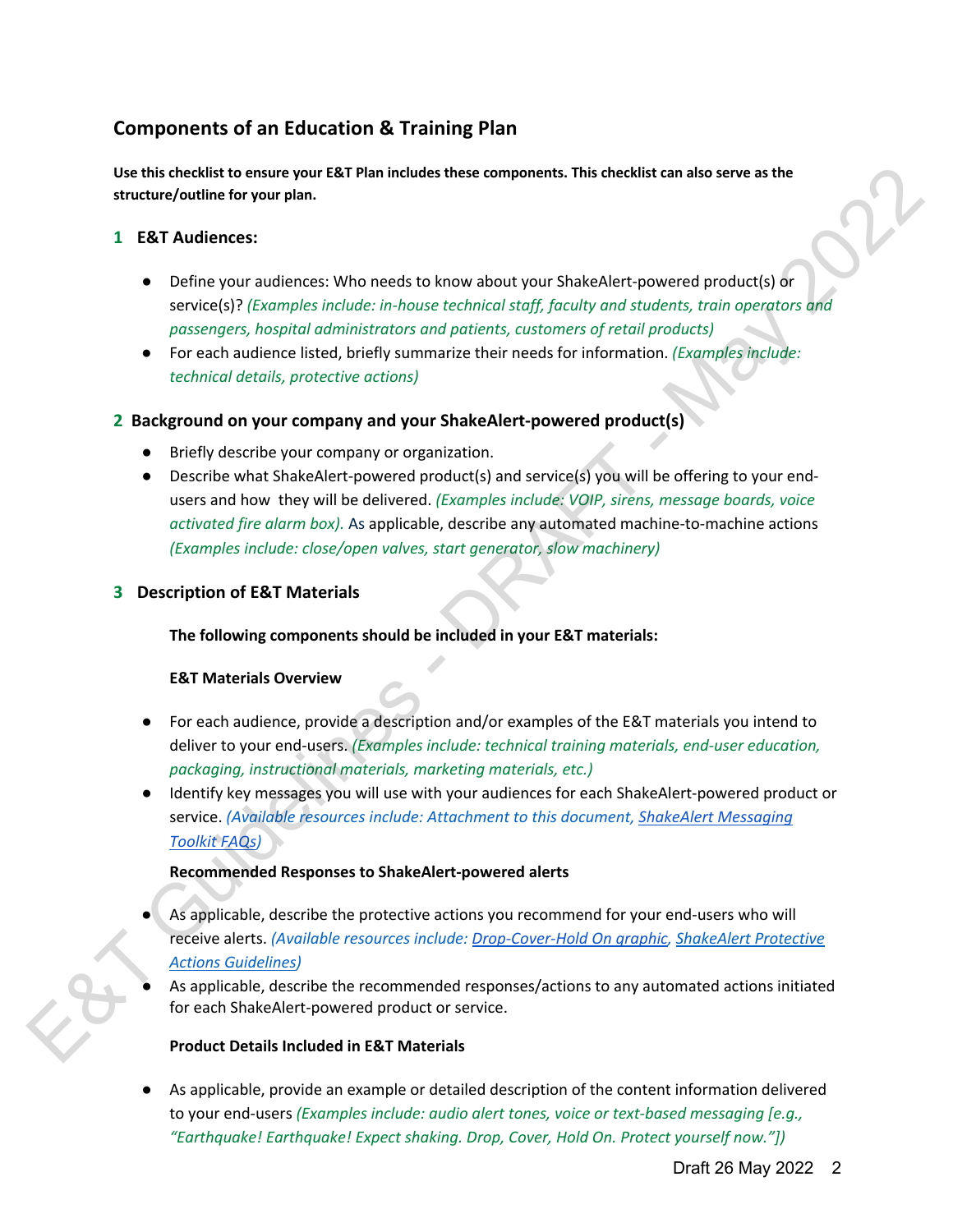# **Components of an Education & Training Plan**

**Use this checklist to ensure your E&T Plan includes these components. This checklist can also serve as the structure/outline for your plan.**

#### **1 E&T Audiences:**

- Define your audiences: Who needs to know about your ShakeAlert-powered product(s) or service(s)? *(Examples include: in-house technical staff, faculty and students, train operators and passengers, hospital administrators and patients, customers of retail products)*
- For each audience listed, briefly summarize their needs for information. *(Examples include: technical details, protective actions)*

#### **2 Background on your company and your ShakeAlert-powered product(s)**

- Briefly describe your company or organization.
- Describe what ShakeAlert-powered product(s) and service(s) you will be offering to your endusers and how they will be delivered. *(Examples include: VOIP, sirens, message boards, voice activated fire alarm box).* As applicable, describe any automated machine-to-machine actions *(Examples include: close/open valves, start generator, slow machinery)* Use this cheatist benown to the three components. This checklist can also serve as the<br>
simulation of the may 2022 method in the maximum of the maximum of the maximum of the period of the period of the control and control

#### **3 Description of E&T Materials**

#### **The following components should be included in your E&T materials:**

#### **E&T Materials Overview**

- For each audience, provide a description and/or examples of the E&T materials you intend to deliver to your end-users. *(Examples include: technical training materials, end-user education, packaging, instructional materials, marketing materials, etc.)*
- Identify key messages you will use with your audiences for each ShakeAlert-powered product or service. *(Available resources include: Attachment to this document, ShakeAlert Messaging Toolkit FAQs)*

#### **Recommended Responses to ShakeAlert-powered alerts**

- As applicable, describe the protective actions you recommend for your end-users who will receive alerts. *(Available resources include: Drop-Cover-Hold On graphic, ShakeAlert Protective Actions Guidelines)*
- As applicable, describe the recommended responses/actions to any automated actions initiated for each ShakeAlert-powered product or service.

#### **Product Details Included in E&T Materials**

As applicable, provide an example or detailed description of the content information delivered to your end-users *(Examples include: audio alert tones, voice or text-based messaging [e.g., "Earthquake! Earthquake! Expect shaking. Drop, Cover, Hold On. Protect yourself now."])*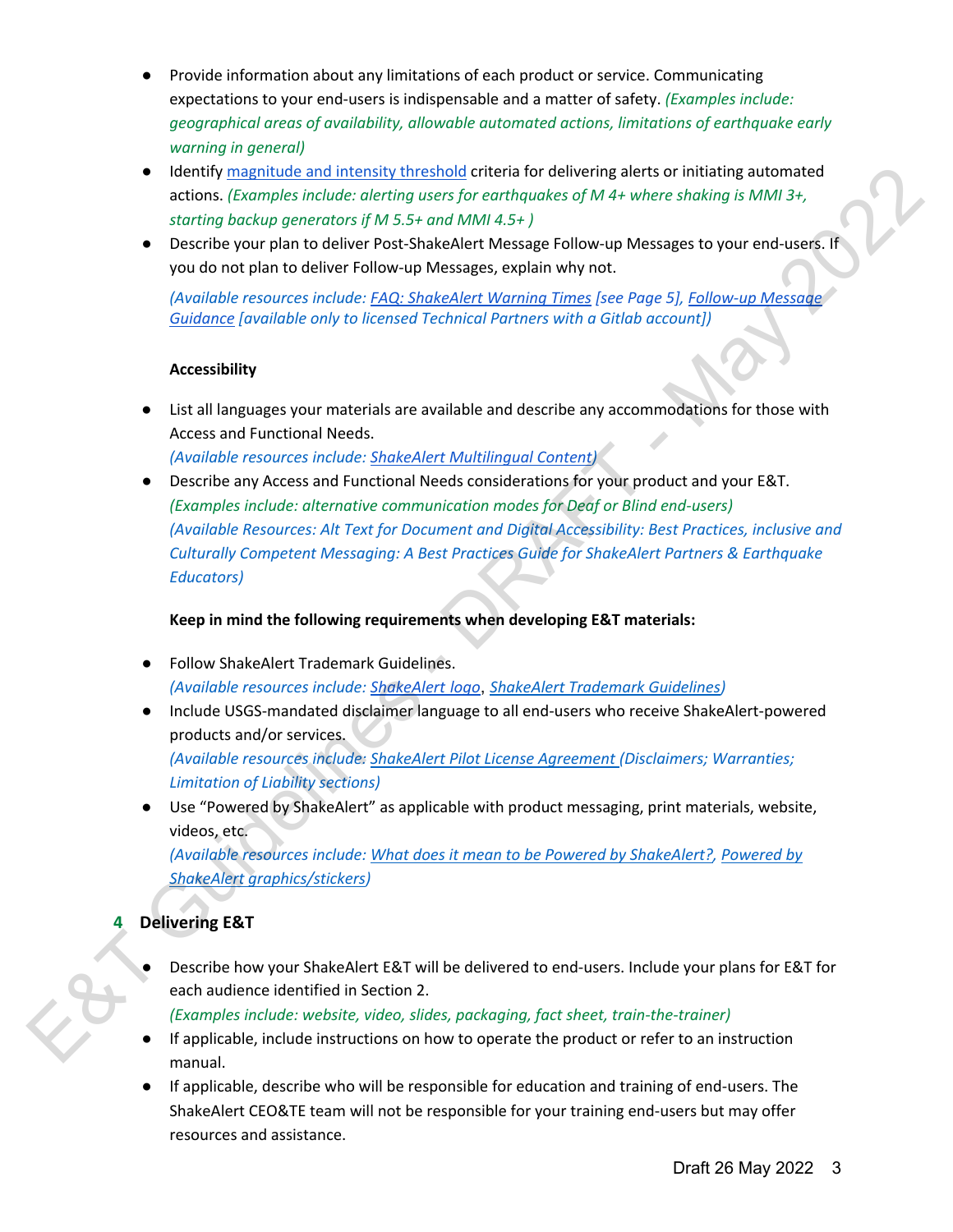- Provide information about any limitations of each product or service. Communicating expectations to your end-users is indispensable and a matter of safety. *(Examples include: geographical areas of availability, allowable automated actions, limitations of earthquake early warning in general)*
- Identify magnitude and intensity threshold criteria for delivering alerts or initiating automated actions. *(Examples include: alerting users for earthquakes of M 4+ where shaking is MMI 3+, starting backup generators if M 5.5+ and MMI 4.5+ )*
- Describe your plan to deliver Post-ShakeAlert Message Follow-up Messages to your end-users. If you do not plan to deliver Follow-up Messages, explain why not.

*(Available resources include: FAQ: ShakeAlert Warning Times [see Page 5], Follow-up Message Guidance [available only to licensed Technical Partners with a Gitlab account])*

#### **Accessibility**

● List all languages your materials are available and describe any accommodations for those with Access and Functional Needs.

*(Available resources include: ShakeAlert Multilingual Content)*

● Describe any Access and Functional Needs considerations for your product and your E&T. *(Examples include: alternative communication modes for Deaf or Blind end-users) (Available Resources: Alt Text for Document and Digital Accessibility: Best Practices, inclusive and Culturally Competent Messaging: A Best Practices Guide for ShakeAlert Partners & Earthquake Educators)* e leader the and the field that a solitically critical of delivering alters of the relation particular and the control of the second of May 2022<br>
Section boothology operations of MAS 5- model MAI 3-5-y<br>
section particular

#### **Keep in mind the following requirements when developing E&T materials:**

- Follow ShakeAlert Trademark Guidelines. *(Available resources include: ShakeAlert logo*, *ShakeAlert Trademark Guidelines)*
- Include USGS-mandated disclaimer language to all end-users who receive ShakeAlert-powered products and/or services. *(Available resources include: ShakeAlert Pilot License Agreement (Disclaimers; Warranties; Limitation of Liability sections)*
- Use "Powered by ShakeAlert" as applicable with product messaging, print materials, website, videos, etc.

*(Available resources include: What does it mean to be Powered by ShakeAlert?, Powered by ShakeAlert graphics/stickers)*

#### **4 Delivering E&T**

Describe how your ShakeAlert E&T will be delivered to end-users. Include your plans for E&T for each audience identified in Section 2.

*(Examples include: website, video, slides, packaging, fact sheet, train-the-trainer)*

- If applicable, include instructions on how to operate the product or refer to an instruction manual.
- If applicable, describe who will be responsible for education and training of end-users. The ShakeAlert CEO&TE team will not be responsible for your training end-users but may offer resources and assistance.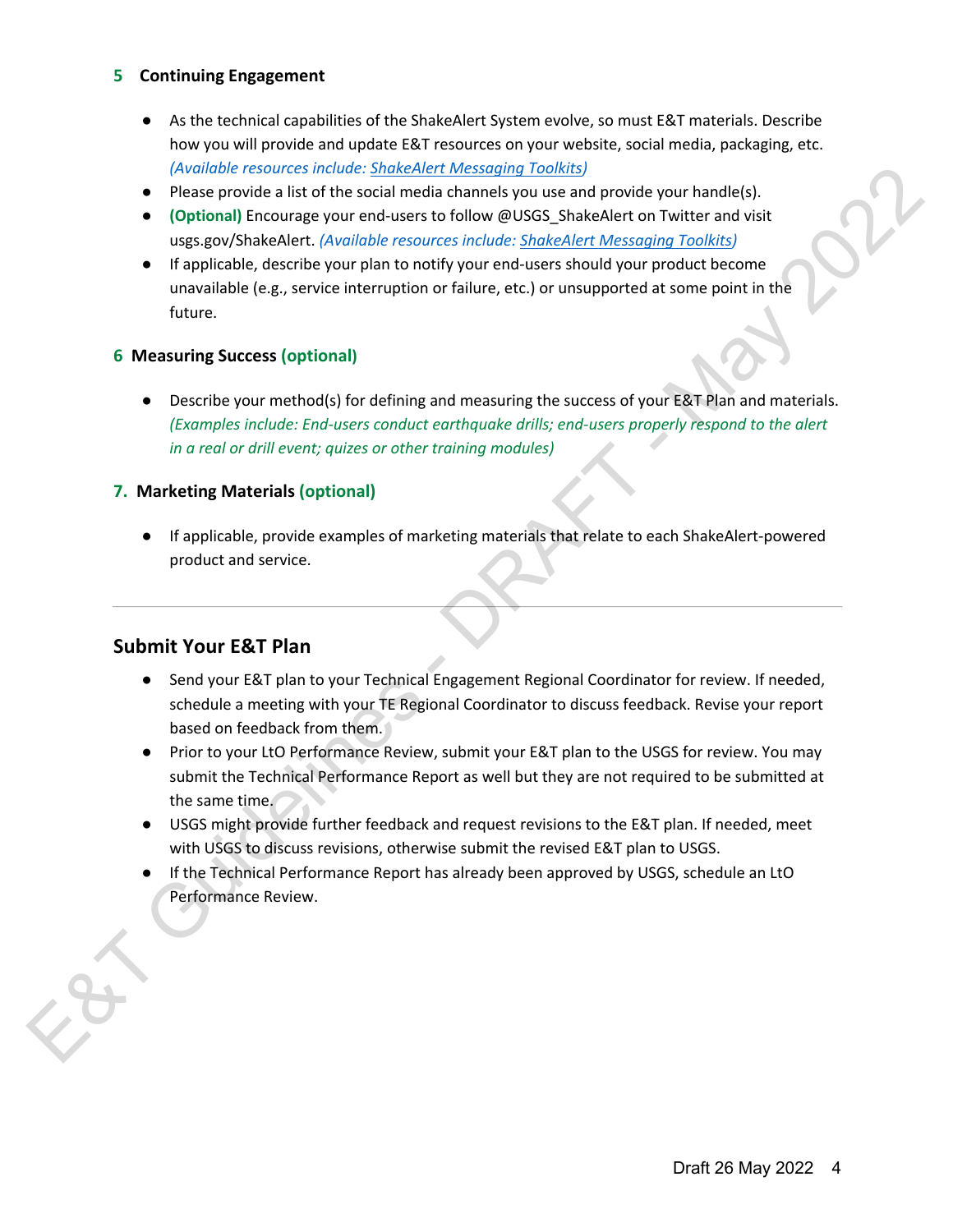#### **5 Continuing Engagement**

- As the technical capabilities of the ShakeAlert System evolve, so must E&T materials. Describe how you will provide and update E&T resources on your website, social media, packaging, etc. *(Available resources include: ShakeAlert Messaging Toolkits)*
- Please provide a list of the social media channels you use and provide your handle(s).
- **(Optional)** Encourage your end-users to follow @USGS ShakeAlert on Twitter and visit usgs.gov/ShakeAlert. *(Available resources include: ShakeAlert Messaging Toolkits)*
- If applicable, describe your plan to notify your end-users should your product become unavailable (e.g., service interruption or failure, etc.) or unsupported at some point in the future.

#### **6 Measuring Success (optional)**

● Describe your method(s) for defining and measuring the success of your E&T Plan and materials. *(Examples include: End-users conduct earthquake drills; end-users properly respond to the alert in a real or drill event; quizes or other training modules)* Example exceptions who are sometime to the solar manneal provide your handled),<br>
A probable from the solar media channels you use and provide your handled),<br>
• Optically Encourage your end visers include: Shabeklert Infere

#### **7. Marketing Materials (optional)**

● If applicable, provide examples of marketing materials that relate to each ShakeAlert-powered product and service.

#### **Submit Your E&T Plan**

- Send your E&T plan to your Technical Engagement Regional Coordinator for review. If needed, schedule a meeting with your TE Regional Coordinator to discuss feedback. Revise your report based on feedback from them.
- Prior to your LtO Performance Review, submit your E&T plan to the USGS for review. You may submit the Technical Performance Report as well but they are not required to be submitted at the same time.
- USGS might provide further feedback and request revisions to the E&T plan. If needed, meet with USGS to discuss revisions, otherwise submit the revised E&T plan to USGS.
- If the Technical Performance Report has already been approved by USGS, schedule an LtO Performance Review.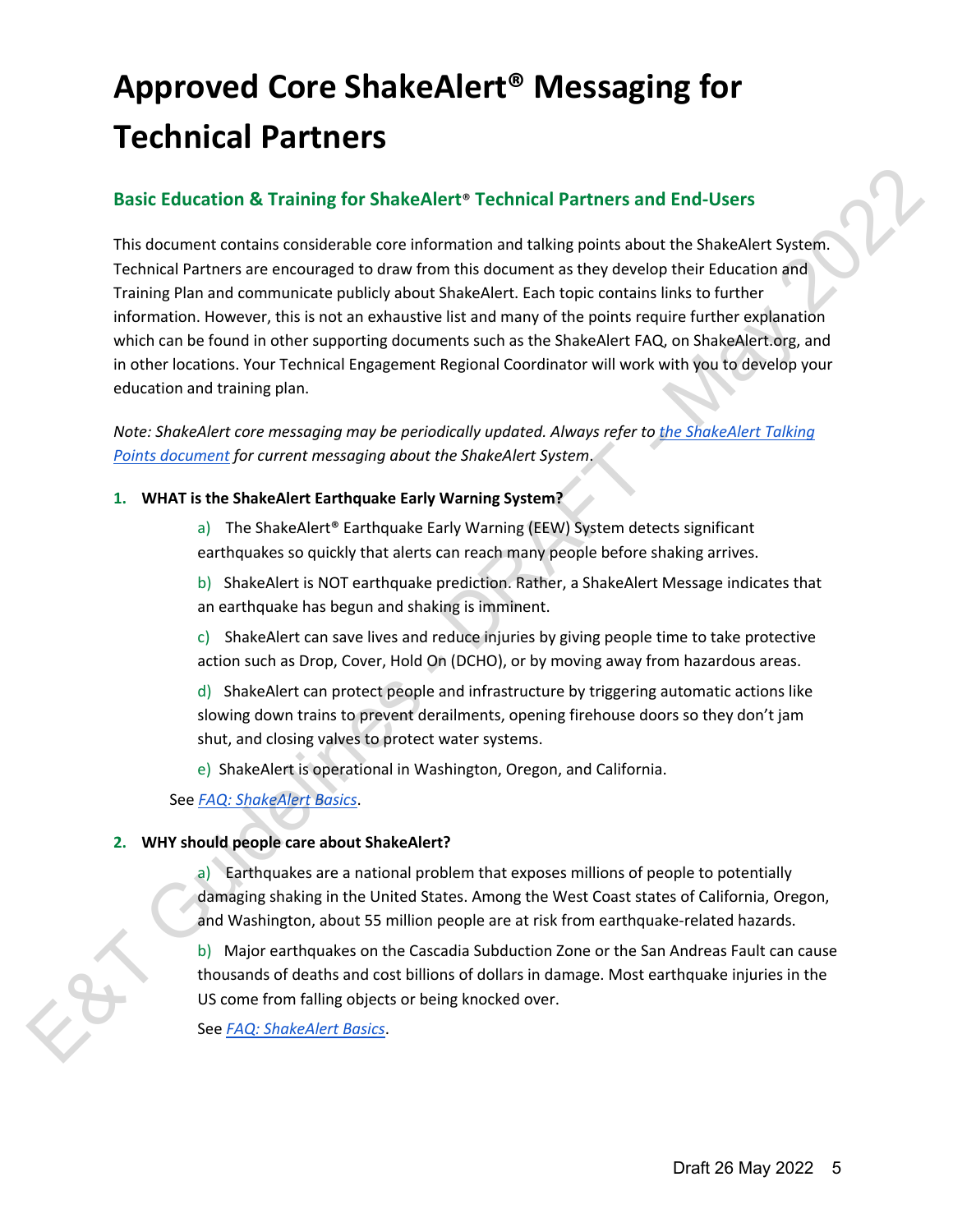# **Approved Core ShakeAlert® Messaging for Technical Partners**

### **Basic Education & Training for ShakeAlert**® **Technical Partners and End-Users**

This document contains considerable core information and talking points about the ShakeAlert System. Technical Partners are encouraged to draw from this document as they develop their Education and Training Plan and communicate publicly about ShakeAlert. Each topic contains links to further information. However, this is not an exhaustive list and many of the points require further explanation which can be found in other supporting documents such as the ShakeAlert FAQ, on ShakeAlert.org, and in other locations. Your Technical Engagement Regional Coordinator will work with you to develop your education and training plan. Basic Education & Training for ShakeAlert\* Technical Partners and End-Users<br>
This document contains considerable core information and talking points about the ShakeAlert System.<br>
Training Plan and communicate publicly abou

*Note: ShakeAlert core messaging may be periodically updated. Always refer to the ShakeAlert Talking Points document for current messaging about the ShakeAlert System*.

#### **1. WHAT is the ShakeAlert Earthquake Early Warning System?**

a) The ShakeAlert® Earthquake Early Warning (EEW) System detects significant earthquakes so quickly that alerts can reach many people before shaking arrives.

b) ShakeAlert is NOT earthquake prediction. Rather, a ShakeAlert Message indicates that an earthquake has begun and shaking is imminent.

c) ShakeAlert can save lives and reduce injuries by giving people time to take protective action such as Drop, Cover, Hold On (DCHO), or by moving away from hazardous areas.

d) ShakeAlert can protect people and infrastructure by triggering automatic actions like slowing down trains to prevent derailments, opening firehouse doors so they don't jam shut, and closing valves to protect water systems.

e) ShakeAlert is operational in Washington, Oregon, and California.

See *FAQ: ShakeAlert Basics*.

#### **2. WHY should people care about ShakeAlert?**

a) Earthquakes are a national problem that exposes millions of people to potentially damaging shaking in the United States. Among the West Coast states of California, Oregon, and Washington, about 55 million people are at risk from earthquake-related hazards.

b) Major earthquakes on the Cascadia Subduction Zone or the San Andreas Fault can cause thousands of deaths and cost billions of dollars in damage. Most earthquake injuries in the US come from falling objects or being knocked over.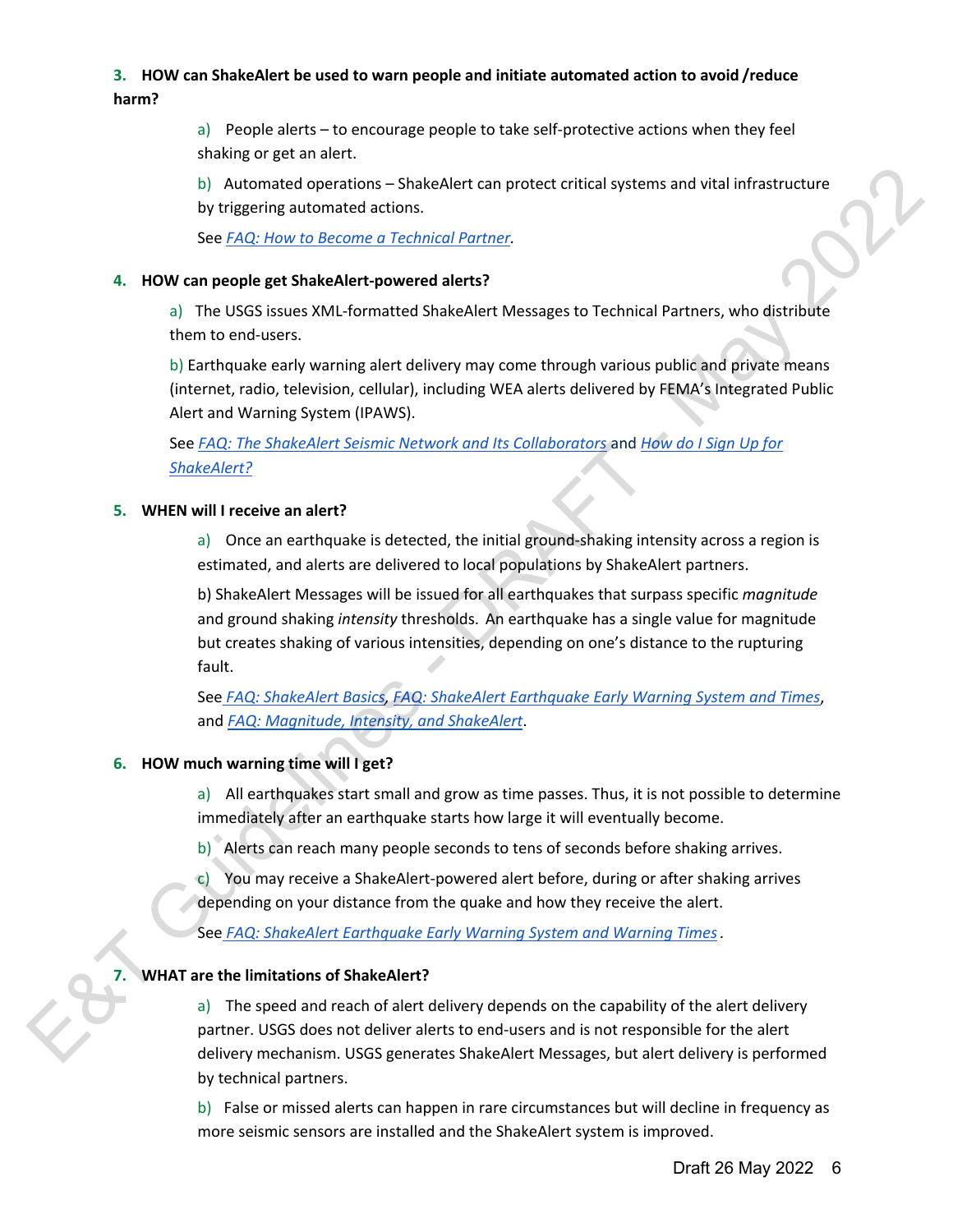### **3. HOW can ShakeAlert be used to warn people and initiate automated action to avoid /reduce harm?**

a) People alerts – to encourage people to take self-protective actions when they feel shaking or get an alert.

b) Automated operations – ShakeAlert can protect critical systems and vital infrastructure by triggering automated actions.

See *FAQ: How to Become a Technical Partner.* 

#### **4. HOW can people get ShakeAlert-powered alerts?**

a) The USGS issues XML-formatted ShakeAlert Messages to Technical Partners, who distribute them to end-users.

b) Earthquake early warning alert delivery may come through various public and private means (internet, radio, television, cellular), including WEA alerts delivered by FEMA's Integrated Public Alert and Warning System (IPAWS).

See *FAQ: The ShakeAlert Seismic Network and Its Collaborators* and *How do I Sign Up for ShakeAlert?*

#### **5. WHEN will I receive an alert?**

a) Once an earthquake is detected, the initial ground-shaking intensity across a region is estimated, and alerts are delivered to local populations by ShakeAlert partners.

b) ShakeAlert Messages will be issued for all earthquakes that surpass specific *magnitude*  and ground shaking *intensity* thresholds. An earthquake has a single value for magnitude but creates shaking of various intensities, depending on one's distance to the rupturing fault. Educations - ShakeAfet can protect critical systems and vital infrastructure<br>
By trigonomy anomatized actions.<br>
The USSS students - Draft distribution of the system of the system of the USB and the USB and the USB student

See *FAQ: ShakeAlert Basics, FAQ: ShakeAlert Earthquake Early Warning System and Times*, and *FAQ: Magnitude, Intensity, and ShakeAlert*.

#### **6. HOW much warning time will I get?**

a) All earthquakes start small and grow as time passes. Thus, it is not possible to determine immediately after an earthquake starts how large it will eventually become.

b) Alerts can reach many people seconds to tens of seconds before shaking arrives.

c) You may receive a ShakeAlert-powered alert before, during or after shaking arrives depending on your distance from the quake and how they receive the alert.

See *FAQ: ShakeAlert Earthquake Early Warning System and Warning Times.* 

#### **7. WHAT are the limitations of ShakeAlert?**

a) The speed and reach of alert delivery depends on the capability of the alert delivery partner. USGS does not deliver alerts to end-users and is not responsible for the alert delivery mechanism. USGS generates ShakeAlert Messages, but alert delivery is performed by technical partners.

b) False or missed alerts can happen in rare circumstances but will decline in frequency as more seismic sensors are installed and the ShakeAlert system is improved.